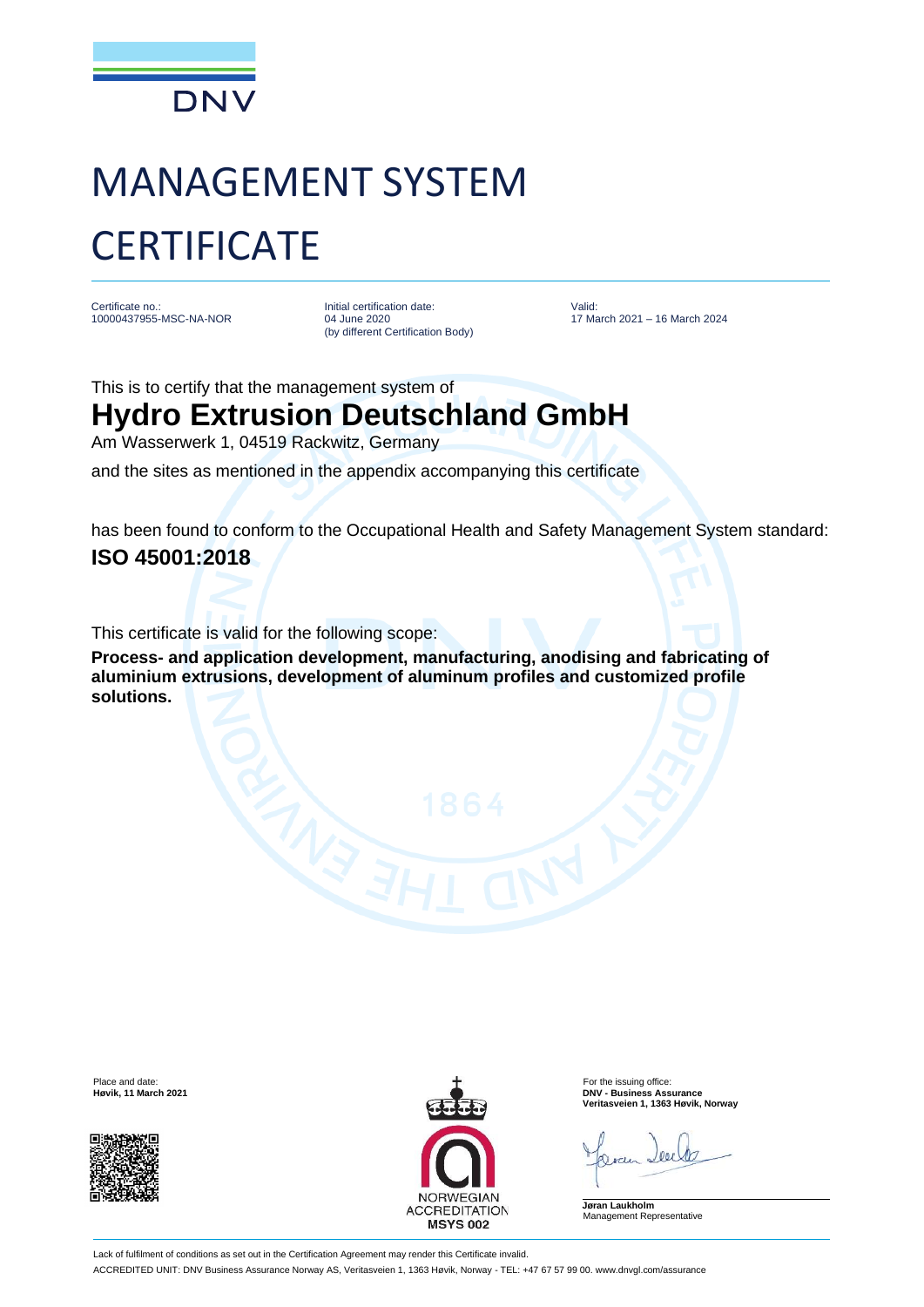

## MANAGEMENT SYSTEM **CERTIFICATE**

Certificate no.: 10000437955-MSC-NA-NOR Initial certification date: 04 June 2020 (by different Certification Body)

Valid: 17 March 2021 – 16 March 2024

This is to certify that the management system of

## **Hydro Extrusion Deutschland GmbH**

Am Wasserwerk 1, 04519 Rackwitz, Germany

and the sites as mentioned in the appendix accompanying this certificate

has been found to conform to the Occupational Health and Safety Management System standard: **ISO 45001:2018**

This certificate is valid for the following scope:

**Process- and application development, manufacturing, anodising and fabricating of aluminium extrusions, development of aluminum profiles and customized profile solutions.**





**Høvik, 11 March 2021 DNV - Business Assurance Veritasveien 1, 1363 Høvik, Norway**

**Jøran Laukholm** Management Representative

Lack of fulfilment of conditions as set out in the Certification Agreement may render this Certificate invalid. ACCREDITED UNIT: DNV Business Assurance Norway AS, Veritasveien 1, 1363 Høvik, Norway - TEL: +47 67 57 99 00. www.dnvgl.com/assurance